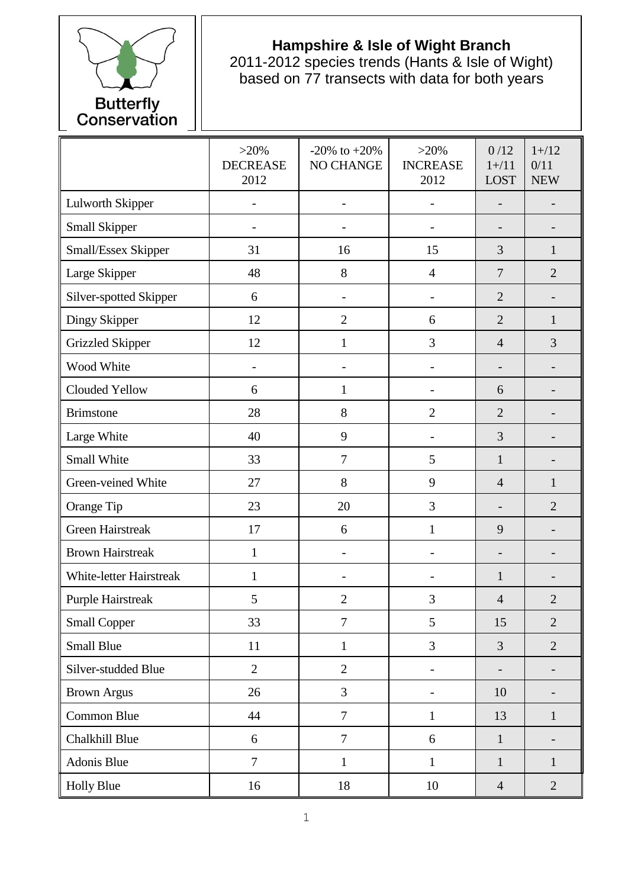

## **Hampshire & Isle of Wight Branch**

2011-2012 species trends (Hants & Isle of Wight) based on 77 transects with data for both years

|                          | $>20\%$<br><b>DECREASE</b><br>2012 | $-20\%$ to $+20\%$<br>NO CHANGE | $>20\%$<br><b>INCREASE</b><br>2012 | 0/12<br>$1 + / 11$<br><b>LOST</b> | $1 + / 12$<br>0/11<br><b>NEW</b> |
|--------------------------|------------------------------------|---------------------------------|------------------------------------|-----------------------------------|----------------------------------|
| Lulworth Skipper         |                                    | $\overline{\phantom{a}}$        |                                    |                                   |                                  |
| Small Skipper            |                                    |                                 |                                    |                                   |                                  |
| Small/Essex Skipper      | 31                                 | 16                              | 15                                 | 3                                 | 1                                |
| Large Skipper            | 48                                 | 8                               | $\overline{4}$                     | $\tau$                            | $\overline{2}$                   |
| Silver-spotted Skipper   | 6                                  |                                 |                                    | $\overline{2}$                    |                                  |
| Dingy Skipper            | 12                                 | $\overline{2}$                  | 6                                  | $\overline{2}$                    | 1                                |
| <b>Grizzled Skipper</b>  | 12                                 | $\mathbf{1}$                    | 3                                  | $\overline{4}$                    | 3                                |
| Wood White               |                                    |                                 |                                    |                                   |                                  |
| Clouded Yellow           | 6                                  | $\mathbf{1}$                    |                                    | 6                                 |                                  |
| <b>Brimstone</b>         | 28                                 | 8                               | $\overline{2}$                     | $\overline{2}$                    |                                  |
| Large White              | 40                                 | 9                               | $\overline{\phantom{0}}$           | 3                                 |                                  |
| Small White              | 33                                 | $\overline{7}$                  | 5                                  | $\mathbf{1}$                      |                                  |
| Green-veined White       | 27                                 | 8                               | 9                                  | $\overline{4}$                    | 1                                |
| Orange Tip               | 23                                 | 20                              | 3                                  |                                   | $\overline{2}$                   |
| <b>Green Hairstreak</b>  | 17                                 | 6                               | $\mathbf{1}$                       | 9                                 |                                  |
| <b>Brown Hairstreak</b>  | $\mathbf{1}$                       | $\overline{\phantom{a}}$        | $\overline{\phantom{0}}$           | $\overline{\phantom{a}}$          |                                  |
| White-letter Hairstreak  | $\mathbf{1}$                       | $\overline{\phantom{0}}$        | $\overline{a}$                     | $\mathbf{1}$                      |                                  |
| <b>Purple Hairstreak</b> | 5                                  | $\overline{2}$                  | 3                                  | $\overline{4}$                    | $\overline{2}$                   |
| <b>Small Copper</b>      | 33                                 | $\overline{7}$                  | 5                                  | 15                                | $\overline{2}$                   |
| <b>Small Blue</b>        | 11                                 | $\mathbf{1}$                    | 3                                  | $\overline{3}$                    | $\overline{2}$                   |
| Silver-studded Blue      | $\overline{2}$                     | $\overline{2}$                  |                                    | $\overline{\phantom{0}}$          |                                  |
| <b>Brown Argus</b>       | 26                                 | 3                               | $\overline{\phantom{0}}$           | 10                                |                                  |
| Common Blue              | 44                                 | $\overline{7}$                  | $\mathbf{1}$                       | 13                                | $\mathbf{1}$                     |
| Chalkhill Blue           | 6                                  | $\overline{7}$                  | 6                                  | $\mathbf{1}$                      | $\overline{\phantom{a}}$         |
| Adonis Blue              | $\overline{7}$                     | $\mathbf{1}$                    | $\mathbf{1}$                       | $\mathbf{1}$                      | $\mathbf{1}$                     |
| <b>Holly Blue</b>        | 16                                 | 18                              | 10                                 | $\overline{4}$                    | $\sqrt{2}$                       |